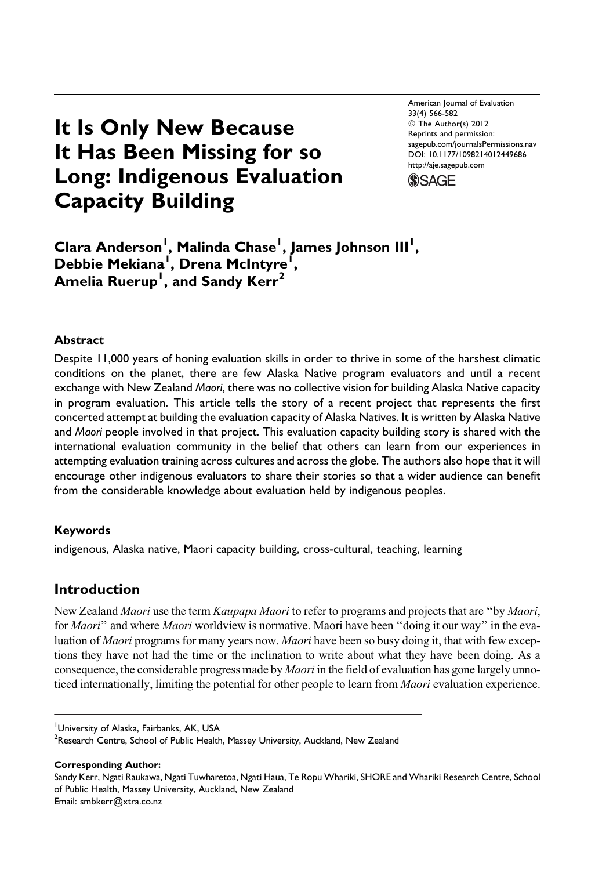# It Is Only New Because It Has Been Missing for so Long: Indigenous Evaluation Capacity Building

American Journal of Evaluation 33(4) 566-582 © The Author(s) 2012 Reprints and permission: sagepub.com/journalsPermissions.nav DOI: 10.1177/1098214012449686 http://aje.sagepub.com



Clara Anderson<sup>1</sup>, Malinda Chase<sup>1</sup>, James Johnson III<sup>1</sup>, Debbie Mekiana<sup>l</sup>, Drena McIntyre<sup>i</sup>, Amelia Ruerup<sup>1</sup>, and Sandy Kerr<sup>2</sup>

# Abstract

Despite 11,000 years of honing evaluation skills in order to thrive in some of the harshest climatic conditions on the planet, there are few Alaska Native program evaluators and until a recent exchange with New Zealand Maori, there was no collective vision for building Alaska Native capacity in program evaluation. This article tells the story of a recent project that represents the first concerted attempt at building the evaluation capacity of Alaska Natives. It is written by Alaska Native and Maori people involved in that project. This evaluation capacity building story is shared with the international evaluation community in the belief that others can learn from our experiences in attempting evaluation training across cultures and across the globe. The authors also hope that it will encourage other indigenous evaluators to share their stories so that a wider audience can benefit from the considerable knowledge about evaluation held by indigenous peoples.

# Keywords

indigenous, Alaska native, Maori capacity building, cross-cultural, teaching, learning

# Introduction

New Zealand *Maori* use the term *Kaupapa Maori* to refer to programs and projects that are "by *Maori*, for *Maori*" and where *Maori* worldview is normative. Maori have been "doing it our way" in the evaluation of *Maori* programs for many years now. *Maori* have been so busy doing it, that with few exceptions they have not had the time or the inclination to write about what they have been doing. As a consequence, the considerable progress made by *Maori* in the field of evaluation has gone largely unnoticed internationally, limiting the potential for other people to learn from *Maori* evaluation experience.

<sup>1</sup>University of Alaska, Fairbanks, AK, USA

Corresponding Author:

 $^2$ Research Centre, School of Public Health, Massey University, Auckland, New Zealand

Sandy Kerr, Ngati Raukawa, Ngati Tuwharetoa, Ngati Haua, Te Ropu Whariki, SHORE and Whariki Research Centre, School of Public Health, Massey University, Auckland, New Zealand Email: smbkerr@xtra.co.nz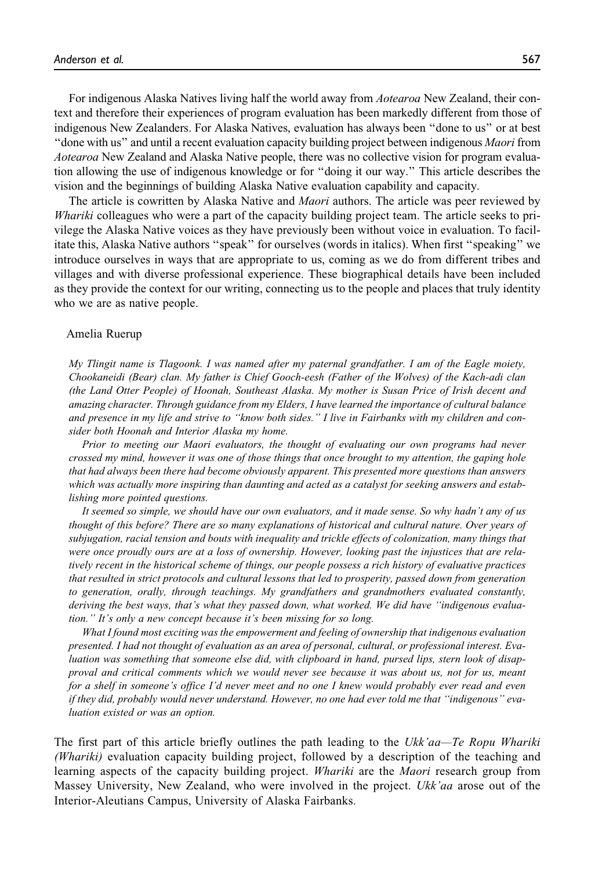For indigenous Alaska Natives living half the world away from Aotearoa New Zealand, their context and therefore their experiences of program evaluation has been markedly different from those of indigenous New Zealanders. For Alaska Natives, evaluation has always been ''done to us'' or at best ''done with us'' and until a recent evaluation capacity building project between indigenous Maori from Aotearoa New Zealand and Alaska Native people, there was no collective vision for program evaluation allowing the use of indigenous knowledge or for ''doing it our way.'' This article describes the vision and the beginnings of building Alaska Native evaluation capability and capacity.

The article is cowritten by Alaska Native and *Maori* authors. The article was peer reviewed by Whariki colleagues who were a part of the capacity building project team. The article seeks to privilege the Alaska Native voices as they have previously been without voice in evaluation. To facilitate this, Alaska Native authors ''speak'' for ourselves (words in italics). When first ''speaking'' we introduce ourselves in ways that are appropriate to us, coming as we do from different tribes and villages and with diverse professional experience. These biographical details have been included as they provide the context for our writing, connecting us to the people and places that truly identity who we are as native people.

#### Amelia Ruerup

My Tlingit name is Tlagoonk. I was named after my paternal grandfather. I am of the Eagle moiety, Chookaneidi (Bear) clan. My father is Chief Gooch-eesh (Father of the Wolves) of the Kach-adi clan (the Land Otter People) of Hoonah, Southeast Alaska. My mother is Susan Price of Irish decent and amazing character. Through guidance from my Elders, I have learned the importance of cultural balance and presence in my life and strive to ''know both sides.'' I live in Fairbanks with my children and consider both Hoonah and Interior Alaska my home.

Prior to meeting our Maori evaluators, the thought of evaluating our own programs had never crossed my mind, however it was one of those things that once brought to my attention, the gaping hole that had always been there had become obviously apparent. This presented more questions than answers which was actually more inspiring than daunting and acted as a catalyst for seeking answers and establishing more pointed questions.

It seemed so simple, we should have our own evaluators, and it made sense. So why hadn't any of us thought of this before? There are so many explanations of historical and cultural nature. Over years of subjugation, racial tension and bouts with inequality and trickle effects of colonization, many things that were once proudly ours are at a loss of ownership. However, looking past the injustices that are relatively recent in the historical scheme of things, our people possess a rich history of evaluative practices that resulted in strict protocols and cultural lessons that led to prosperity, passed down from generation to generation, orally, through teachings. My grandfathers and grandmothers evaluated constantly, deriving the best ways, that's what they passed down, what worked. We did have "indigenous evaluation.'' It's only a new concept because it's been missing for so long.

What I found most exciting was the empowerment and feeling of ownership that indigenous evaluation presented. I had not thought of evaluation as an area of personal, cultural, or professional interest. Evaluation was something that someone else did, with clipboard in hand, pursed lips, stern look of disapproval and critical comments which we would never see because it was about us, not for us, meant for a shelf in someone's office I'd never meet and no one I knew would probably ever read and even if they did, probably would never understand. However, no one had ever told me that ''indigenous'' evaluation existed or was an option.

The first part of this article briefly outlines the path leading to the Ukk'aa—Te Ropu Whariki (Whariki) evaluation capacity building project, followed by a description of the teaching and learning aspects of the capacity building project. Whariki are the Maori research group from Massey University, New Zealand, who were involved in the project. Ukk'aa arose out of the Interior-Aleutians Campus, University of Alaska Fairbanks.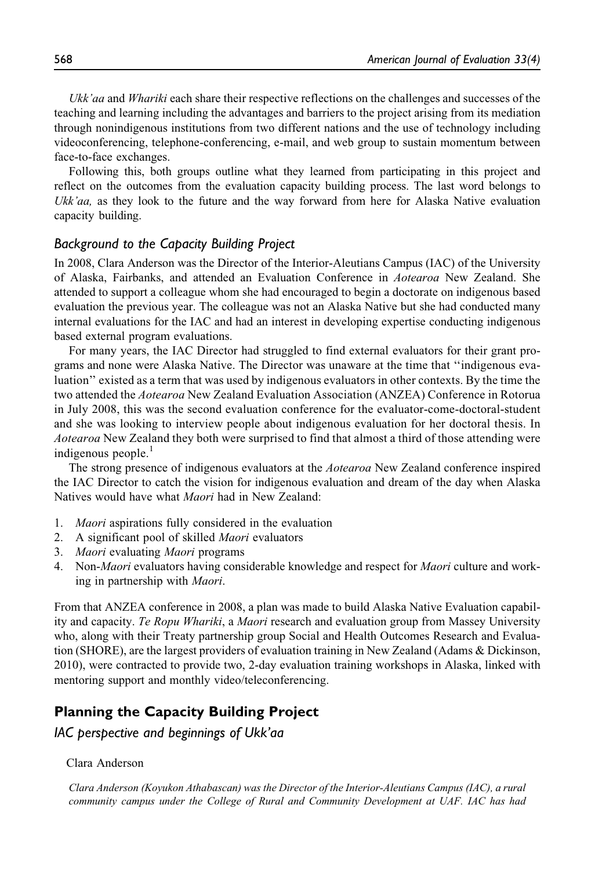Ukk'aa and Whariki each share their respective reflections on the challenges and successes of the teaching and learning including the advantages and barriers to the project arising from its mediation through nonindigenous institutions from two different nations and the use of technology including videoconferencing, telephone-conferencing, e-mail, and web group to sustain momentum between face-to-face exchanges.

Following this, both groups outline what they learned from participating in this project and reflect on the outcomes from the evaluation capacity building process. The last word belongs to Ukk'aa, as they look to the future and the way forward from here for Alaska Native evaluation capacity building.

# Background to the Capacity Building Project

In 2008, Clara Anderson was the Director of the Interior-Aleutians Campus (IAC) of the University of Alaska, Fairbanks, and attended an Evaluation Conference in Aotearoa New Zealand. She attended to support a colleague whom she had encouraged to begin a doctorate on indigenous based evaluation the previous year. The colleague was not an Alaska Native but she had conducted many internal evaluations for the IAC and had an interest in developing expertise conducting indigenous based external program evaluations.

For many years, the IAC Director had struggled to find external evaluators for their grant programs and none were Alaska Native. The Director was unaware at the time that ''indigenous evaluation'' existed as a term that was used by indigenous evaluators in other contexts. By the time the two attended the Aotearoa New Zealand Evaluation Association (ANZEA) Conference in Rotorua in July 2008, this was the second evaluation conference for the evaluator-come-doctoral-student and she was looking to interview people about indigenous evaluation for her doctoral thesis. In Aotearoa New Zealand they both were surprised to find that almost a third of those attending were indigenous people. $<sup>1</sup>$ </sup>

The strong presence of indigenous evaluators at the Aotearoa New Zealand conference inspired the IAC Director to catch the vision for indigenous evaluation and dream of the day when Alaska Natives would have what Maori had in New Zealand:

- 1. Maori aspirations fully considered in the evaluation
- 2. A significant pool of skilled Maori evaluators
- 3. Maori evaluating Maori programs
- 4. Non-*Maori* evaluators having considerable knowledge and respect for *Maori* culture and working in partnership with Maori.

From that ANZEA conference in 2008, a plan was made to build Alaska Native Evaluation capability and capacity. Te Ropu Whariki, a Maori research and evaluation group from Massey University who, along with their Treaty partnership group Social and Health Outcomes Research and Evaluation (SHORE), are the largest providers of evaluation training in New Zealand (Adams & Dickinson, 2010), were contracted to provide two, 2-day evaluation training workshops in Alaska, linked with mentoring support and monthly video/teleconferencing.

# Planning the Capacity Building Project

IAC perspective and beginnings of Ukk'aa

### Clara Anderson

Clara Anderson (Koyukon Athabascan) was the Director of the Interior-Aleutians Campus (IAC), a rural community campus under the College of Rural and Community Development at UAF. IAC has had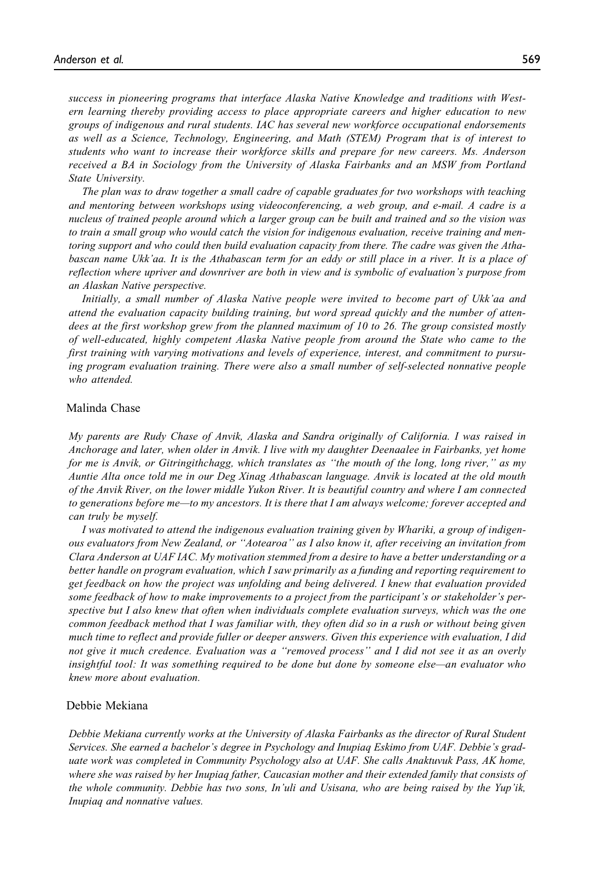success in pioneering programs that interface Alaska Native Knowledge and traditions with Western learning thereby providing access to place appropriate careers and higher education to new groups of indigenous and rural students. IAC has several new workforce occupational endorsements as well as a Science, Technology, Engineering, and Math (STEM) Program that is of interest to students who want to increase their workforce skills and prepare for new careers. Ms. Anderson received a BA in Sociology from the University of Alaska Fairbanks and an MSW from Portland State University.

The plan was to draw together a small cadre of capable graduates for two workshops with teaching and mentoring between workshops using videoconferencing, a web group, and e-mail. A cadre is a nucleus of trained people around which a larger group can be built and trained and so the vision was to train a small group who would catch the vision for indigenous evaluation, receive training and mentoring support and who could then build evaluation capacity from there. The cadre was given the Athabascan name Ukk'aa. It is the Athabascan term for an eddy or still place in a river. It is a place of reflection where upriver and downriver are both in view and is symbolic of evaluation's purpose from an Alaskan Native perspective.

Initially, a small number of Alaska Native people were invited to become part of Ukk'aa and attend the evaluation capacity building training, but word spread quickly and the number of attendees at the first workshop grew from the planned maximum of 10 to 26. The group consisted mostly of well-educated, highly competent Alaska Native people from around the State who came to the first training with varying motivations and levels of experience, interest, and commitment to pursuing program evaluation training. There were also a small number of self-selected nonnative people who attended.

#### Malinda Chase

My parents are Rudy Chase of Anvik, Alaska and Sandra originally of California. I was raised in Anchorage and later, when older in Anvik. I live with my daughter Deenaalee in Fairbanks, yet home for me is Anvik, or Gitringithchagg, which translates as ''the mouth of the long, long river,'' as my Auntie Alta once told me in our Deg Xinag Athabascan language. Anvik is located at the old mouth of the Anvik River, on the lower middle Yukon River. It is beautiful country and where I am connected to generations before me—to my ancestors. It is there that I am always welcome; forever accepted and can truly be myself.

I was motivated to attend the indigenous evaluation training given by Whariki, a group of indigenous evaluators from New Zealand, or ''Aotearoa'' as I also know it, after receiving an invitation from Clara Anderson at UAF IAC. My motivation stemmed from a desire to have a better understanding or a better handle on program evaluation, which I saw primarily as a funding and reporting requirement to get feedback on how the project was unfolding and being delivered. I knew that evaluation provided some feedback of how to make improvements to a project from the participant's or stakeholder's perspective but I also knew that often when individuals complete evaluation surveys, which was the one common feedback method that I was familiar with, they often did so in a rush or without being given much time to reflect and provide fuller or deeper answers. Given this experience with evaluation, I did not give it much credence. Evaluation was a ''removed process'' and I did not see it as an overly insightful tool: It was something required to be done but done by someone else—an evaluator who knew more about evaluation.

### Debbie Mekiana

Debbie Mekiana currently works at the University of Alaska Fairbanks as the director of Rural Student Services. She earned a bachelor's degree in Psychology and Inupiaq Eskimo from UAF. Debbie's graduate work was completed in Community Psychology also at UAF. She calls Anaktuvuk Pass, AK home, where she was raised by her Inupiaq father, Caucasian mother and their extended family that consists of the whole community. Debbie has two sons, In'uli and Usisana, who are being raised by the Yup'ik, Inupiaq and nonnative values.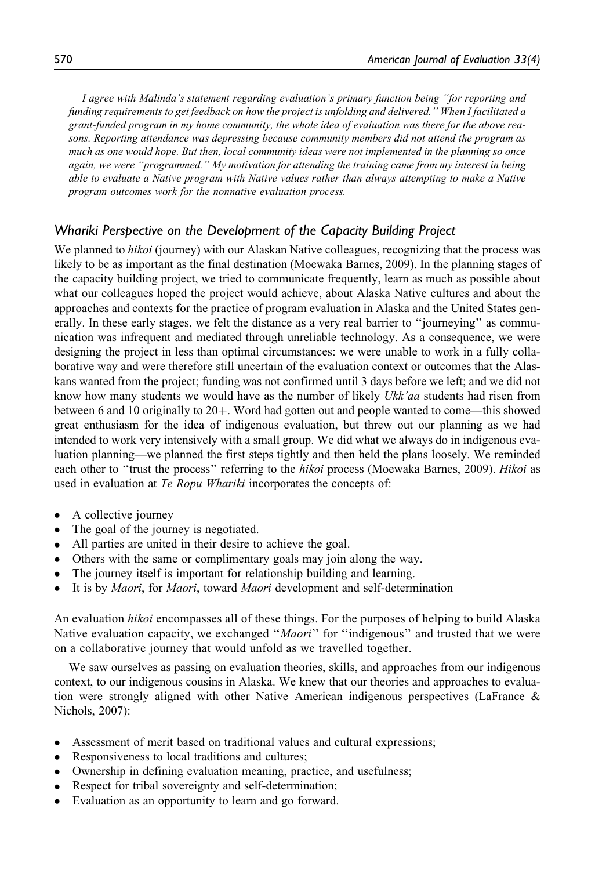I agree with Malinda's statement regarding evaluation's primary function being ''for reporting and funding requirements to get feedback on how the project is unfolding and delivered.'' When I facilitated a grant-funded program in my home community, the whole idea of evaluation was there for the above reasons. Reporting attendance was depressing because community members did not attend the program as much as one would hope. But then, local community ideas were not implemented in the planning so once again, we were ''programmed.'' My motivation for attending the training came from my interest in being able to evaluate a Native program with Native values rather than always attempting to make a Native program outcomes work for the nonnative evaluation process.

# Whariki Perspective on the Development of the Capacity Building Project

We planned to *hikoi* (journey) with our Alaskan Native colleagues, recognizing that the process was likely to be as important as the final destination (Moewaka Barnes, 2009). In the planning stages of the capacity building project, we tried to communicate frequently, learn as much as possible about what our colleagues hoped the project would achieve, about Alaska Native cultures and about the approaches and contexts for the practice of program evaluation in Alaska and the United States generally. In these early stages, we felt the distance as a very real barrier to ''journeying'' as communication was infrequent and mediated through unreliable technology. As a consequence, we were designing the project in less than optimal circumstances: we were unable to work in a fully collaborative way and were therefore still uncertain of the evaluation context or outcomes that the Alaskans wanted from the project; funding was not confirmed until 3 days before we left; and we did not know how many students we would have as the number of likely Ukk'aa students had risen from between 6 and 10 originally to 20+. Word had gotten out and people wanted to come—this showed great enthusiasm for the idea of indigenous evaluation, but threw out our planning as we had intended to work very intensively with a small group. We did what we always do in indigenous evaluation planning—we planned the first steps tightly and then held the plans loosely. We reminded each other to "trust the process" referring to the hikoi process (Moewaka Barnes, 2009). Hikoi as used in evaluation at Te Ropu Whariki incorporates the concepts of:

- $\bullet$ A collective journey
- $\bullet$ The goal of the journey is negotiated.
- All parties are united in their desire to achieve the goal.
- $\bullet$ Others with the same or complimentary goals may join along the way.
- $\bullet$ The journey itself is important for relationship building and learning.
- $\bullet$ It is by Maori, for Maori, toward Maori development and self-determination

An evaluation hikoi encompasses all of these things. For the purposes of helping to build Alaska Native evaluation capacity, we exchanged "Maori" for "indigenous" and trusted that we were on a collaborative journey that would unfold as we travelled together.

We saw ourselves as passing on evaluation theories, skills, and approaches from our indigenous context, to our indigenous cousins in Alaska. We knew that our theories and approaches to evaluation were strongly aligned with other Native American indigenous perspectives (LaFrance & Nichols, 2007):

- $\bullet$ Assessment of merit based on traditional values and cultural expressions;
- $\bullet$ Responsiveness to local traditions and cultures;
- $\bullet$ Ownership in defining evaluation meaning, practice, and usefulness;
- $\bullet$ Respect for tribal sovereignty and self-determination;
- $\bullet$ Evaluation as an opportunity to learn and go forward.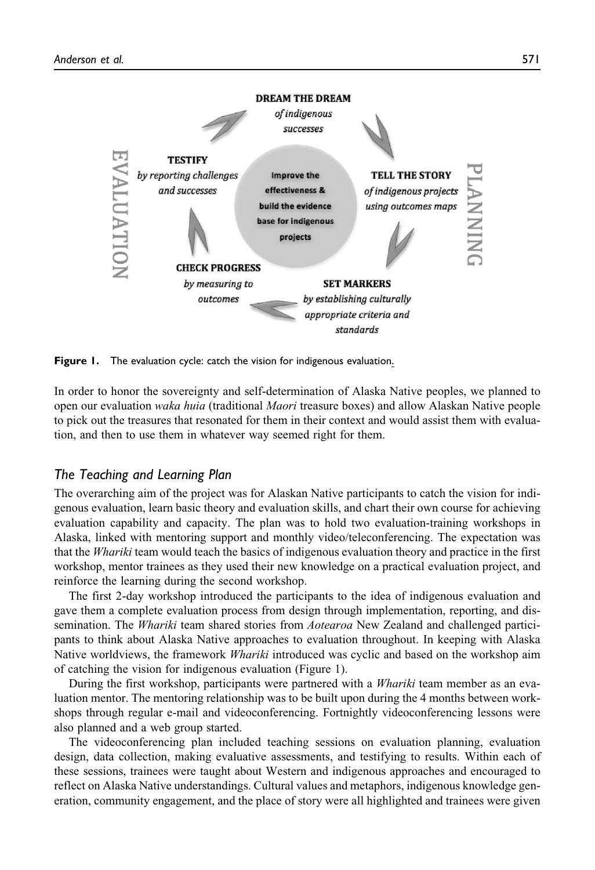

Figure 1. The evaluation cycle: catch the vision for indigenous evaluation.

In order to honor the sovereignty and self-determination of Alaska Native peoples, we planned to open our evaluation waka huia (traditional Maori treasure boxes) and allow Alaskan Native people to pick out the treasures that resonated for them in their context and would assist them with evaluation, and then to use them in whatever way seemed right for them.

# The Teaching and Learning Plan

The overarching aim of the project was for Alaskan Native participants to catch the vision for indigenous evaluation, learn basic theory and evaluation skills, and chart their own course for achieving evaluation capability and capacity. The plan was to hold two evaluation-training workshops in Alaska, linked with mentoring support and monthly video/teleconferencing. The expectation was that the Whariki team would teach the basics of indigenous evaluation theory and practice in the first workshop, mentor trainees as they used their new knowledge on a practical evaluation project, and reinforce the learning during the second workshop.

The first 2-day workshop introduced the participants to the idea of indigenous evaluation and gave them a complete evaluation process from design through implementation, reporting, and dissemination. The *Whariki* team shared stories from *Aotearoa* New Zealand and challenged participants to think about Alaska Native approaches to evaluation throughout. In keeping with Alaska Native worldviews, the framework *Whariki* introduced was cyclic and based on the workshop aim of catching the vision for indigenous evaluation (Figure 1).

During the first workshop, participants were partnered with a *Whariki* team member as an evaluation mentor. The mentoring relationship was to be built upon during the 4 months between workshops through regular e-mail and videoconferencing. Fortnightly videoconferencing lessons were also planned and a web group started.

The videoconferencing plan included teaching sessions on evaluation planning, evaluation design, data collection, making evaluative assessments, and testifying to results. Within each of these sessions, trainees were taught about Western and indigenous approaches and encouraged to reflect on Alaska Native understandings. Cultural values and metaphors, indigenous knowledge generation, community engagement, and the place of story were all highlighted and trainees were given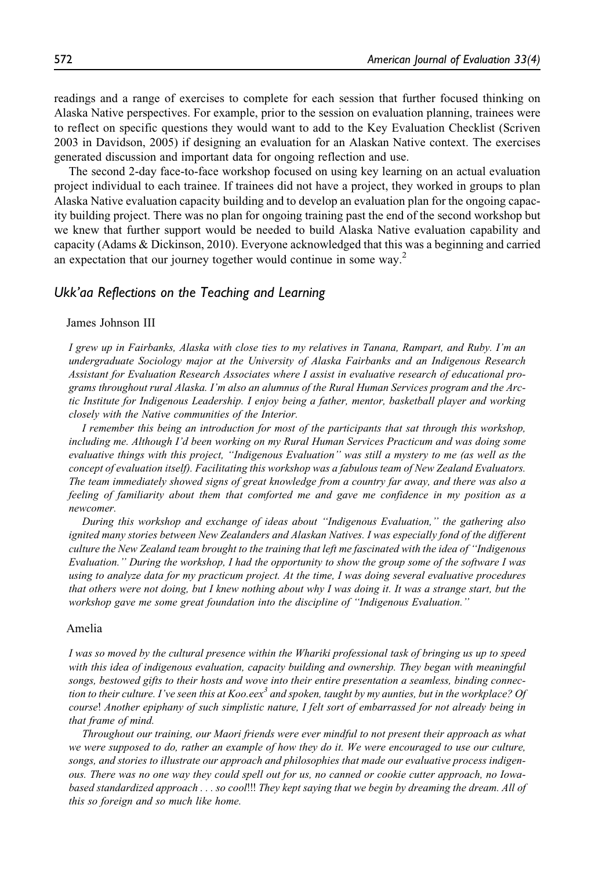readings and a range of exercises to complete for each session that further focused thinking on Alaska Native perspectives. For example, prior to the session on evaluation planning, trainees were to reflect on specific questions they would want to add to the Key Evaluation Checklist (Scriven 2003 in Davidson, 2005) if designing an evaluation for an Alaskan Native context. The exercises generated discussion and important data for ongoing reflection and use.

The second 2-day face-to-face workshop focused on using key learning on an actual evaluation project individual to each trainee. If trainees did not have a project, they worked in groups to plan Alaska Native evaluation capacity building and to develop an evaluation plan for the ongoing capacity building project. There was no plan for ongoing training past the end of the second workshop but we knew that further support would be needed to build Alaska Native evaluation capability and capacity (Adams & Dickinson, 2010). Everyone acknowledged that this was a beginning and carried an expectation that our journey together would continue in some way.<sup>2</sup>

# Ukk'aa Reflections on the Teaching and Learning

#### James Johnson III

I grew up in Fairbanks, Alaska with close ties to my relatives in Tanana, Rampart, and Ruby. I'm an undergraduate Sociology major at the University of Alaska Fairbanks and an Indigenous Research Assistant for Evaluation Research Associates where I assist in evaluative research of educational programs throughout rural Alaska. I'm also an alumnus of the Rural Human Services program and the Arctic Institute for Indigenous Leadership. I enjoy being a father, mentor, basketball player and working closely with the Native communities of the Interior.

I remember this being an introduction for most of the participants that sat through this workshop, including me. Although I'd been working on my Rural Human Services Practicum and was doing some evaluative things with this project, ''Indigenous Evaluation'' was still a mystery to me (as well as the concept of evaluation itself). Facilitating this workshop was a fabulous team of New Zealand Evaluators. The team immediately showed signs of great knowledge from a country far away, and there was also a feeling of familiarity about them that comforted me and gave me confidence in my position as a newcomer.

During this workshop and exchange of ideas about ''Indigenous Evaluation,'' the gathering also ignited many stories between New Zealanders and Alaskan Natives. I was especially fond of the different culture the New Zealand team brought to the training that left me fascinated with the idea of ''Indigenous Evaluation.'' During the workshop, I had the opportunity to show the group some of the software I was using to analyze data for my practicum project. At the time, I was doing several evaluative procedures that others were not doing, but I knew nothing about why I was doing it. It was a strange start, but the workshop gave me some great foundation into the discipline of ''Indigenous Evaluation.''

#### Amelia

I was so moved by the cultural presence within the Whariki professional task of bringing us up to speed with this idea of indigenous evaluation, capacity building and ownership. They began with meaningful songs, bestowed gifts to their hosts and wove into their entire presentation a seamless, binding connection to their culture. I've seen this at Koo.eex<sup>3</sup> and spoken, taught by my aunties, but in the workplace? Of course! Another epiphany of such simplistic nature, I felt sort of embarrassed for not already being in that frame of mind.

Throughout our training, our Maori friends were ever mindful to not present their approach as what we were supposed to do, rather an example of how they do it. We were encouraged to use our culture, songs, and stories to illustrate our approach and philosophies that made our evaluative process indigenous. There was no one way they could spell out for us, no canned or cookie cutter approach, no Iowabased standardized approach . . . so cool!!! They kept saying that we begin by dreaming the dream. All of this so foreign and so much like home.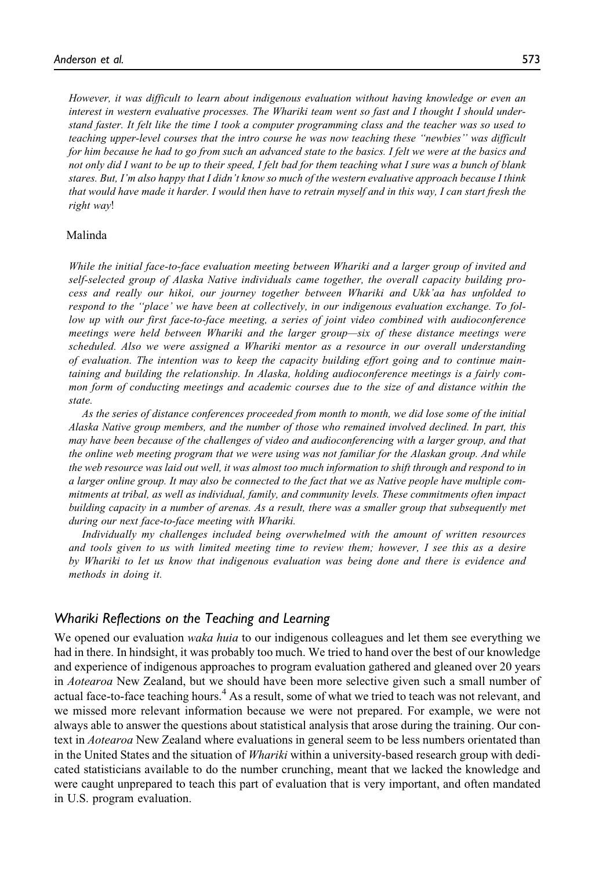However, it was difficult to learn about indigenous evaluation without having knowledge or even an interest in western evaluative processes. The Whariki team went so fast and I thought I should understand faster. It felt like the time I took a computer programming class and the teacher was so used to teaching upper-level courses that the intro course he was now teaching these ''newbies'' was difficult for him because he had to go from such an advanced state to the basics. I felt we were at the basics and not only did I want to be up to their speed, I felt bad for them teaching what I sure was a bunch of blank stares. But, I'm also happy that I didn't know so much of the western evaluative approach because I think that would have made it harder. I would then have to retrain myself and in this way, I can start fresh the right way!

#### Malinda

While the initial face-to-face evaluation meeting between Whariki and a larger group of invited and self-selected group of Alaska Native individuals came together, the overall capacity building process and really our hikoi, our journey together between Whariki and Ukk'aa has unfolded to respond to the ''place' we have been at collectively, in our indigenous evaluation exchange. To follow up with our first face-to-face meeting, a series of joint video combined with audioconference meetings were held between Whariki and the larger group—six of these distance meetings were scheduled. Also we were assigned a Whariki mentor as a resource in our overall understanding of evaluation. The intention was to keep the capacity building effort going and to continue maintaining and building the relationship. In Alaska, holding audioconference meetings is a fairly common form of conducting meetings and academic courses due to the size of and distance within the state.

As the series of distance conferences proceeded from month to month, we did lose some of the initial Alaska Native group members, and the number of those who remained involved declined. In part, this may have been because of the challenges of video and audioconferencing with a larger group, and that the online web meeting program that we were using was not familiar for the Alaskan group. And while the web resource was laid out well, it was almost too much information to shift through and respond to in a larger online group. It may also be connected to the fact that we as Native people have multiple commitments at tribal, as well as individual, family, and community levels. These commitments often impact building capacity in a number of arenas. As a result, there was a smaller group that subsequently met during our next face-to-face meeting with Whariki.

Individually my challenges included being overwhelmed with the amount of written resources and tools given to us with limited meeting time to review them; however, I see this as a desire by Whariki to let us know that indigenous evaluation was being done and there is evidence and methods in doing it.

# Whariki Reflections on the Teaching and Learning

We opened our evaluation *waka huia* to our indigenous colleagues and let them see everything we had in there. In hindsight, it was probably too much. We tried to hand over the best of our knowledge and experience of indigenous approaches to program evaluation gathered and gleaned over 20 years in Aotearoa New Zealand, but we should have been more selective given such a small number of actual face-to-face teaching hours.<sup>4</sup> As a result, some of what we tried to teach was not relevant, and we missed more relevant information because we were not prepared. For example, we were not always able to answer the questions about statistical analysis that arose during the training. Our context in *Aotearoa* New Zealand where evaluations in general seem to be less numbers orientated than in the United States and the situation of *Whariki* within a university-based research group with dedicated statisticians available to do the number crunching, meant that we lacked the knowledge and were caught unprepared to teach this part of evaluation that is very important, and often mandated in U.S. program evaluation.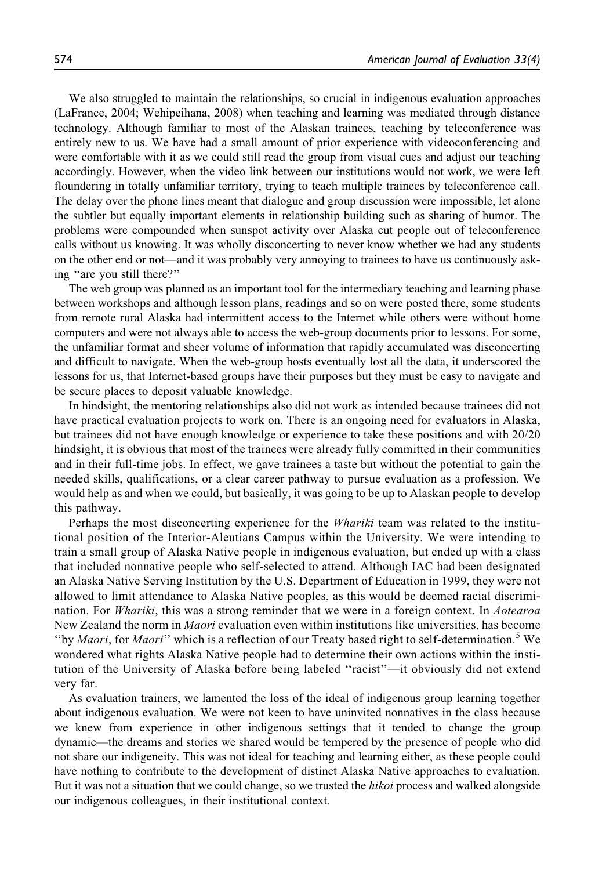We also struggled to maintain the relationships, so crucial in indigenous evaluation approaches (LaFrance, 2004; Wehipeihana, 2008) when teaching and learning was mediated through distance technology. Although familiar to most of the Alaskan trainees, teaching by teleconference was entirely new to us. We have had a small amount of prior experience with videoconferencing and were comfortable with it as we could still read the group from visual cues and adjust our teaching accordingly. However, when the video link between our institutions would not work, we were left floundering in totally unfamiliar territory, trying to teach multiple trainees by teleconference call. The delay over the phone lines meant that dialogue and group discussion were impossible, let alone the subtler but equally important elements in relationship building such as sharing of humor. The problems were compounded when sunspot activity over Alaska cut people out of teleconference calls without us knowing. It was wholly disconcerting to never know whether we had any students on the other end or not—and it was probably very annoying to trainees to have us continuously asking ''are you still there?''

The web group was planned as an important tool for the intermediary teaching and learning phase between workshops and although lesson plans, readings and so on were posted there, some students from remote rural Alaska had intermittent access to the Internet while others were without home computers and were not always able to access the web-group documents prior to lessons. For some, the unfamiliar format and sheer volume of information that rapidly accumulated was disconcerting and difficult to navigate. When the web-group hosts eventually lost all the data, it underscored the lessons for us, that Internet-based groups have their purposes but they must be easy to navigate and be secure places to deposit valuable knowledge.

In hindsight, the mentoring relationships also did not work as intended because trainees did not have practical evaluation projects to work on. There is an ongoing need for evaluators in Alaska, but trainees did not have enough knowledge or experience to take these positions and with 20/20 hindsight, it is obvious that most of the trainees were already fully committed in their communities and in their full-time jobs. In effect, we gave trainees a taste but without the potential to gain the needed skills, qualifications, or a clear career pathway to pursue evaluation as a profession. We would help as and when we could, but basically, it was going to be up to Alaskan people to develop this pathway.

Perhaps the most disconcerting experience for the Whariki team was related to the institutional position of the Interior-Aleutians Campus within the University. We were intending to train a small group of Alaska Native people in indigenous evaluation, but ended up with a class that included nonnative people who self-selected to attend. Although IAC had been designated an Alaska Native Serving Institution by the U.S. Department of Education in 1999, they were not allowed to limit attendance to Alaska Native peoples, as this would be deemed racial discrimination. For Whariki, this was a strong reminder that we were in a foreign context. In Aotearoa New Zealand the norm in Maori evaluation even within institutions like universities, has become "by *Maori*, for *Maori*" which is a reflection of our Treaty based right to self-determination.<sup>5</sup> We wondered what rights Alaska Native people had to determine their own actions within the institution of the University of Alaska before being labeled ''racist''—it obviously did not extend very far.

As evaluation trainers, we lamented the loss of the ideal of indigenous group learning together about indigenous evaluation. We were not keen to have uninvited nonnatives in the class because we knew from experience in other indigenous settings that it tended to change the group dynamic—the dreams and stories we shared would be tempered by the presence of people who did not share our indigeneity. This was not ideal for teaching and learning either, as these people could have nothing to contribute to the development of distinct Alaska Native approaches to evaluation. But it was not a situation that we could change, so we trusted the *hikoi* process and walked alongside our indigenous colleagues, in their institutional context.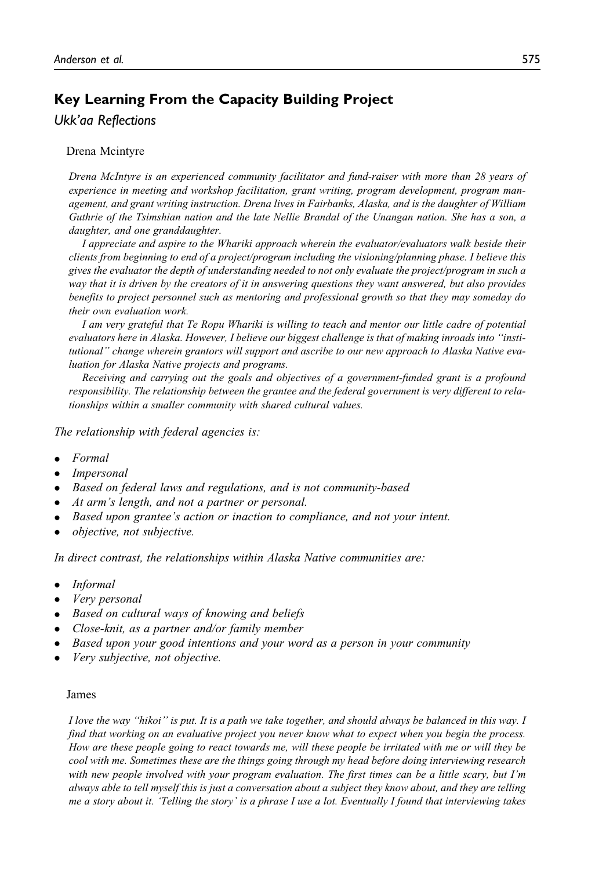# Key Learning From the Capacity Building Project

# Ukk'aa Reflections

### Drena Mcintyre

Drena McIntyre is an experienced community facilitator and fund-raiser with more than 28 years of experience in meeting and workshop facilitation, grant writing, program development, program management, and grant writing instruction. Drena lives in Fairbanks, Alaska, and is the daughter of William Guthrie of the Tsimshian nation and the late Nellie Brandal of the Unangan nation. She has a son, a daughter, and one granddaughter.

I appreciate and aspire to the Whariki approach wherein the evaluator/evaluators walk beside their clients from beginning to end of a project/program including the visioning/planning phase. I believe this gives the evaluator the depth of understanding needed to not only evaluate the project/program in such a way that it is driven by the creators of it in answering questions they want answered, but also provides benefits to project personnel such as mentoring and professional growth so that they may someday do their own evaluation work.

I am very grateful that Te Ropu Whariki is willing to teach and mentor our little cadre of potential evaluators here in Alaska. However, I believe our biggest challenge is that of making inroads into ''institutional'' change wherein grantors will support and ascribe to our new approach to Alaska Native evaluation for Alaska Native projects and programs.

Receiving and carrying out the goals and objectives of a government-funded grant is a profound responsibility. The relationship between the grantee and the federal government is very different to relationships within a smaller community with shared cultural values.

The relationship with federal agencies is:

- $\bullet$ Formal
- $\bullet$ Impersonal
- $\bullet$ Based on federal laws and regulations, and is not community-based
- $\bullet$ At arm's length, and not a partner or personal.
- $\bullet$ Based upon grantee's action or inaction to compliance, and not your intent.
- $\bullet$ objective, not subjective.

In direct contrast, the relationships within Alaska Native communities are:

- -Informal
- $\bullet$ Very personal
- $\bullet$ Based on cultural ways of knowing and beliefs
- $\bullet$ Close-knit, as a partner and/or family member
- $\bullet$ Based upon your good intentions and your word as a person in your community
- $\bullet$ Very subjective, not objective.

#### James

I love the way ''hikoi'' is put. It is a path we take together, and should always be balanced in this way. I find that working on an evaluative project you never know what to expect when you begin the process. How are these people going to react towards me, will these people be irritated with me or will they be cool with me. Sometimes these are the things going through my head before doing interviewing research with new people involved with your program evaluation. The first times can be a little scary, but I'm always able to tell myself this is just a conversation about a subject they know about, and they are telling me a story about it. 'Telling the story' is a phrase I use a lot. Eventually I found that interviewing takes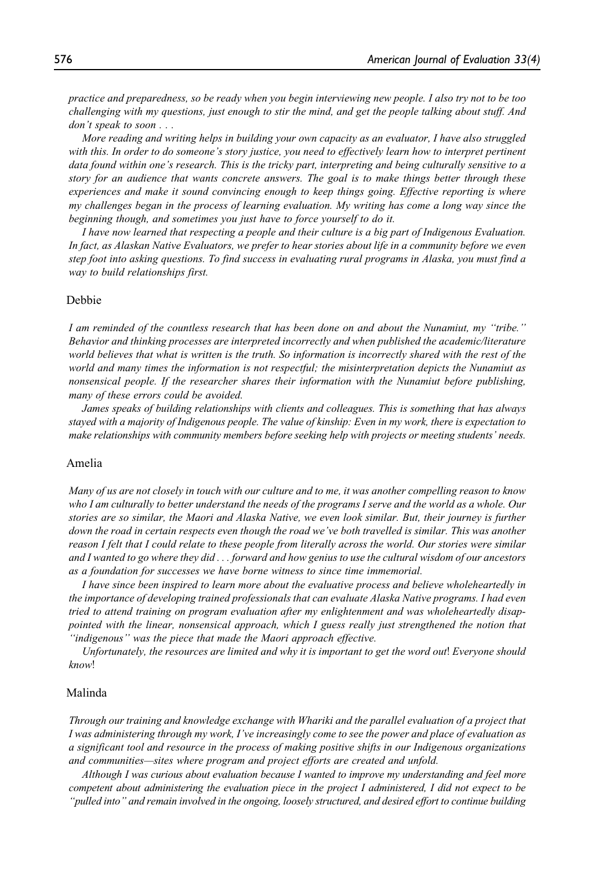practice and preparedness, so be ready when you begin interviewing new people. I also try not to be too challenging with my questions, just enough to stir the mind, and get the people talking about stuff. And don't speak to soon . . .

More reading and writing helps in building your own capacity as an evaluator, I have also struggled with this. In order to do someone's story justice, you need to effectively learn how to interpret pertinent data found within one's research. This is the tricky part, interpreting and being culturally sensitive to a story for an audience that wants concrete answers. The goal is to make things better through these experiences and make it sound convincing enough to keep things going. Effective reporting is where my challenges began in the process of learning evaluation. My writing has come a long way since the beginning though, and sometimes you just have to force yourself to do it.

I have now learned that respecting a people and their culture is a big part of Indigenous Evaluation. In fact, as Alaskan Native Evaluators, we prefer to hear stories about life in a community before we even step foot into asking questions. To find success in evaluating rural programs in Alaska, you must find a way to build relationships first.

#### Debbie

I am reminded of the countless research that has been done on and about the Nunamiut, my ''tribe.'' Behavior and thinking processes are interpreted incorrectly and when published the academic/literature world believes that what is written is the truth. So information is incorrectly shared with the rest of the world and many times the information is not respectful; the misinterpretation depicts the Nunamiut as nonsensical people. If the researcher shares their information with the Nunamiut before publishing, many of these errors could be avoided.

James speaks of building relationships with clients and colleagues. This is something that has always stayed with a majority of Indigenous people. The value of kinship: Even in my work, there is expectation to make relationships with community members before seeking help with projects or meeting students' needs.

#### Amelia

Many of us are not closely in touch with our culture and to me, it was another compelling reason to know who I am culturally to better understand the needs of the programs I serve and the world as a whole. Our stories are so similar, the Maori and Alaska Native, we even look similar. But, their journey is further down the road in certain respects even though the road we've both travelled is similar. This was another reason I felt that I could relate to these people from literally across the world. Our stories were similar and I wanted to go where they did . . . forward and how genius to use the cultural wisdom of our ancestors as a foundation for successes we have borne witness to since time immemorial.

I have since been inspired to learn more about the evaluative process and believe wholeheartedly in the importance of developing trained professionals that can evaluate Alaska Native programs. I had even tried to attend training on program evaluation after my enlightenment and was wholeheartedly disappointed with the linear, nonsensical approach, which I guess really just strengthened the notion that ''indigenous'' was the piece that made the Maori approach effective.

Unfortunately, the resources are limited and why it is important to get the word out! Everyone should know!

### Malinda

Through our training and knowledge exchange with Whariki and the parallel evaluation of a project that I was administering through my work, I've increasingly come to see the power and place of evaluation as a significant tool and resource in the process of making positive shifts in our Indigenous organizations and communities—sites where program and project efforts are created and unfold.

Although I was curious about evaluation because I wanted to improve my understanding and feel more competent about administering the evaluation piece in the project I administered, I did not expect to be ''pulled into'' and remain involved in the ongoing, loosely structured, and desired effort to continue building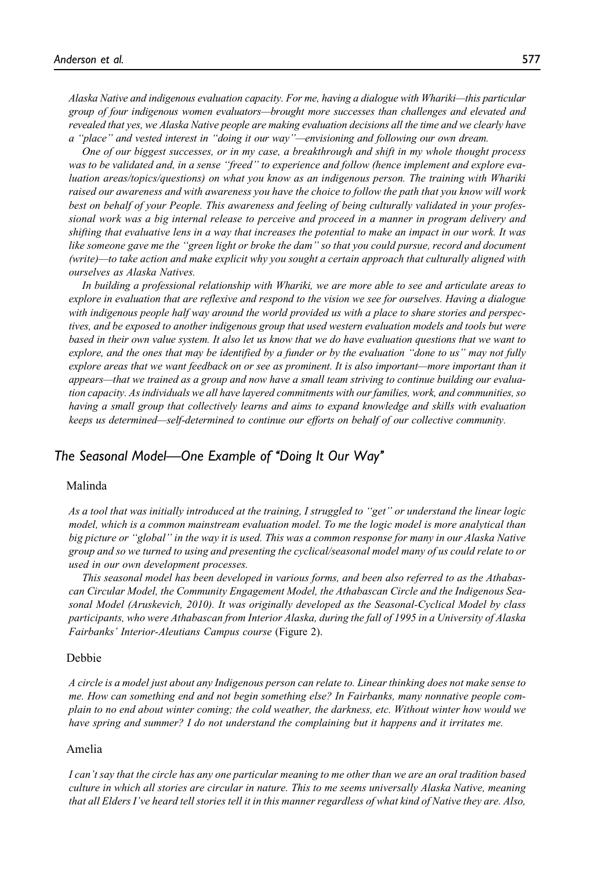Alaska Native and indigenous evaluation capacity. For me, having a dialogue with Whariki—this particular group of four indigenous women evaluators—brought more successes than challenges and elevated and revealed that yes, we Alaska Native people are making evaluation decisions all the time and we clearly have a ''place'' and vested interest in ''doing it our way''—envisioning and following our own dream.

One of our biggest successes, or in my case, a breakthrough and shift in my whole thought process was to be validated and, in a sense ''freed'' to experience and follow (hence implement and explore evaluation areas/topics/questions) on what you know as an indigenous person. The training with Whariki raised our awareness and with awareness you have the choice to follow the path that you know will work best on behalf of your People. This awareness and feeling of being culturally validated in your professional work was a big internal release to perceive and proceed in a manner in program delivery and shifting that evaluative lens in a way that increases the potential to make an impact in our work. It was like someone gave me the ''green light or broke the dam'' so that you could pursue, record and document (write)—to take action and make explicit why you sought a certain approach that culturally aligned with ourselves as Alaska Natives.

In building a professional relationship with Whariki, we are more able to see and articulate areas to explore in evaluation that are reflexive and respond to the vision we see for ourselves. Having a dialogue with indigenous people half way around the world provided us with a place to share stories and perspectives, and be exposed to another indigenous group that used western evaluation models and tools but were based in their own value system. It also let us know that we do have evaluation questions that we want to explore, and the ones that may be identified by a funder or by the evaluation ''done to us'' may not fully explore areas that we want feedback on or see as prominent. It is also important—more important than it appears—that we trained as a group and now have a small team striving to continue building our evaluation capacity. As individuals we all have layered commitments with our families, work, and communities, so having a small group that collectively learns and aims to expand knowledge and skills with evaluation keeps us determined—self-determined to continue our efforts on behalf of our collective community.

# The Seasonal Model---One Example of "Doing It Our Way"

### Malinda

As a tool that was initially introduced at the training, I struggled to ''get'' or understand the linear logic model, which is a common mainstream evaluation model. To me the logic model is more analytical than big picture or ''global'' in the way it is used. This was a common response for many in our Alaska Native group and so we turned to using and presenting the cyclical/seasonal model many of us could relate to or used in our own development processes.

This seasonal model has been developed in various forms, and been also referred to as the Athabascan Circular Model, the Community Engagement Model, the Athabascan Circle and the Indigenous Seasonal Model (Aruskevich, 2010). It was originally developed as the Seasonal-Cyclical Model by class participants, who were Athabascan from Interior Alaska, during the fall of 1995 in a University of Alaska Fairbanks' Interior-Aleutians Campus course (Figure 2).

#### Debbie

A circle is a model just about any Indigenous person can relate to. Linear thinking does not make sense to me. How can something end and not begin something else? In Fairbanks, many nonnative people complain to no end about winter coming; the cold weather, the darkness, etc. Without winter how would we have spring and summer? I do not understand the complaining but it happens and it irritates me.

### Amelia

I can't say that the circle has any one particular meaning to me other than we are an oral tradition based culture in which all stories are circular in nature. This to me seems universally Alaska Native, meaning that all Elders I've heard tell stories tell it in this manner regardless of what kind of Native they are. Also,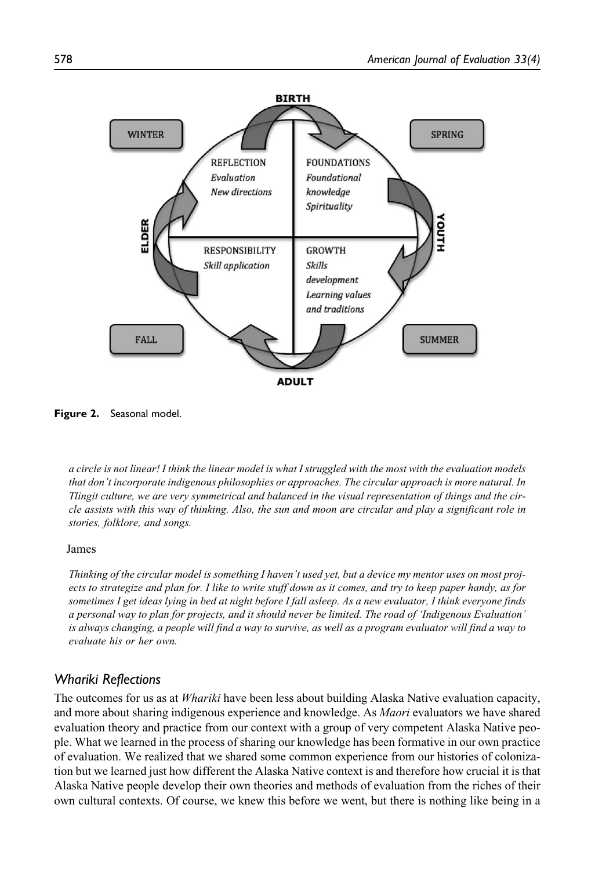

Figure 2. Seasonal model.

a circle is not linear! I think the linear model is what I struggled with the most with the evaluation models that don't incorporate indigenous philosophies or approaches. The circular approach is more natural. In Tlingit culture, we are very symmetrical and balanced in the visual representation of things and the circle assists with this way of thinking. Also, the sun and moon are circular and play a significant role in stories, folklore, and songs.

### James

Thinking of the circular model is something I haven't used yet, but a device my mentor uses on most projects to strategize and plan for. I like to write stuff down as it comes, and try to keep paper handy, as for sometimes I get ideas lying in bed at night before I fall asleep. As a new evaluator, I think everyone finds a personal way to plan for projects, and it should never be limited. The road of 'Indigenous Evaluation' is always changing, a people will find a way to survive, as well as a program evaluator will find a way to evaluate his or her own.

# Whariki Reflections

The outcomes for us as at *Whariki* have been less about building Alaska Native evaluation capacity, and more about sharing indigenous experience and knowledge. As *Maori* evaluators we have shared evaluation theory and practice from our context with a group of very competent Alaska Native people. What we learned in the process of sharing our knowledge has been formative in our own practice of evaluation. We realized that we shared some common experience from our histories of colonization but we learned just how different the Alaska Native context is and therefore how crucial it is that Alaska Native people develop their own theories and methods of evaluation from the riches of their own cultural contexts. Of course, we knew this before we went, but there is nothing like being in a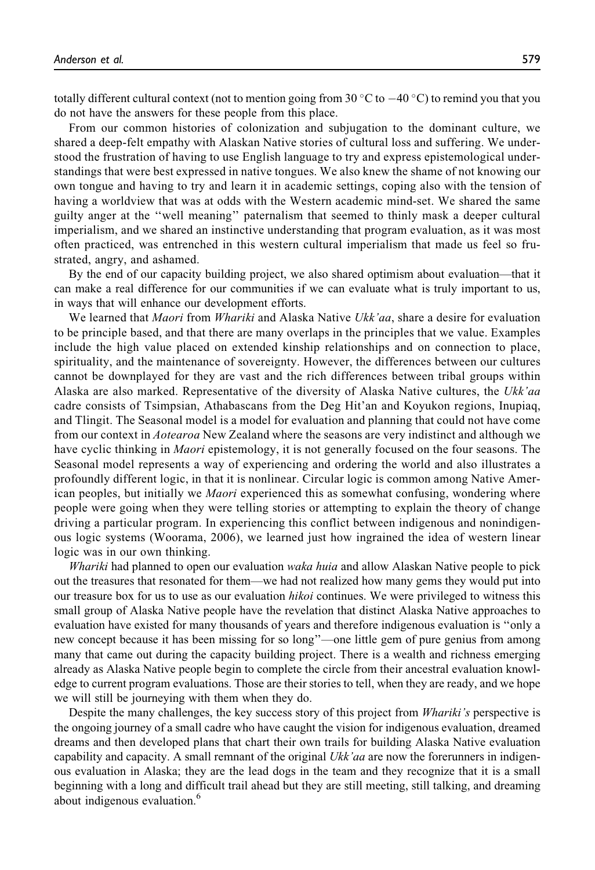totally different cultural context (not to mention going from 30 °C to  $-40$  °C) to remind you that you do not have the answers for these people from this place.

From our common histories of colonization and subjugation to the dominant culture, we shared a deep-felt empathy with Alaskan Native stories of cultural loss and suffering. We understood the frustration of having to use English language to try and express epistemological understandings that were best expressed in native tongues. We also knew the shame of not knowing our own tongue and having to try and learn it in academic settings, coping also with the tension of having a worldview that was at odds with the Western academic mind-set. We shared the same guilty anger at the ''well meaning'' paternalism that seemed to thinly mask a deeper cultural imperialism, and we shared an instinctive understanding that program evaluation, as it was most often practiced, was entrenched in this western cultural imperialism that made us feel so frustrated, angry, and ashamed.

By the end of our capacity building project, we also shared optimism about evaluation—that it can make a real difference for our communities if we can evaluate what is truly important to us, in ways that will enhance our development efforts.

We learned that *Maori* from *Whariki* and Alaska Native Ukk'aa, share a desire for evaluation to be principle based, and that there are many overlaps in the principles that we value. Examples include the high value placed on extended kinship relationships and on connection to place, spirituality, and the maintenance of sovereignty. However, the differences between our cultures cannot be downplayed for they are vast and the rich differences between tribal groups within Alaska are also marked. Representative of the diversity of Alaska Native cultures, the Ukk'aa cadre consists of Tsimpsian, Athabascans from the Deg Hit'an and Koyukon regions, Inupiaq, and Tlingit. The Seasonal model is a model for evaluation and planning that could not have come from our context in Aotearoa New Zealand where the seasons are very indistinct and although we have cyclic thinking in *Maori* epistemology, it is not generally focused on the four seasons. The Seasonal model represents a way of experiencing and ordering the world and also illustrates a profoundly different logic, in that it is nonlinear. Circular logic is common among Native American peoples, but initially we *Maori* experienced this as somewhat confusing, wondering where people were going when they were telling stories or attempting to explain the theory of change driving a particular program. In experiencing this conflict between indigenous and nonindigenous logic systems (Woorama, 2006), we learned just how ingrained the idea of western linear logic was in our own thinking.

Whariki had planned to open our evaluation *waka huia* and allow Alaskan Native people to pick out the treasures that resonated for them—we had not realized how many gems they would put into our treasure box for us to use as our evaluation *hikoi* continues. We were privileged to witness this small group of Alaska Native people have the revelation that distinct Alaska Native approaches to evaluation have existed for many thousands of years and therefore indigenous evaluation is ''only a new concept because it has been missing for so long''—one little gem of pure genius from among many that came out during the capacity building project. There is a wealth and richness emerging already as Alaska Native people begin to complete the circle from their ancestral evaluation knowledge to current program evaluations. Those are their stories to tell, when they are ready, and we hope we will still be journeying with them when they do.

Despite the many challenges, the key success story of this project from Whariki's perspective is the ongoing journey of a small cadre who have caught the vision for indigenous evaluation, dreamed dreams and then developed plans that chart their own trails for building Alaska Native evaluation capability and capacity. A small remnant of the original Ukk'aa are now the forerunners in indigenous evaluation in Alaska; they are the lead dogs in the team and they recognize that it is a small beginning with a long and difficult trail ahead but they are still meeting, still talking, and dreaming about indigenous evaluation.<sup>6</sup>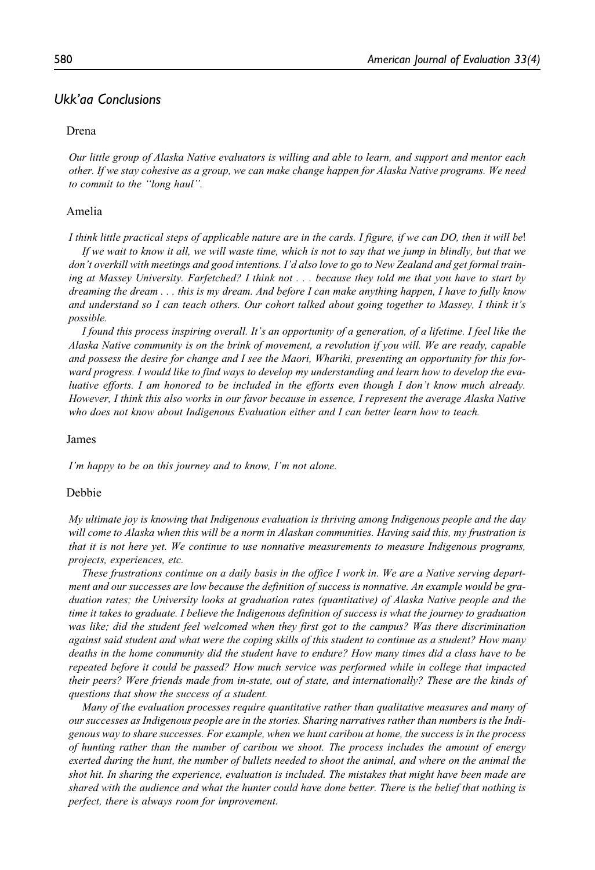# Ukk'aa Conclusions

#### Drena

Our little group of Alaska Native evaluators is willing and able to learn, and support and mentor each other. If we stay cohesive as a group, we can make change happen for Alaska Native programs. We need to commit to the ''long haul''.

### Amelia

I think little practical steps of applicable nature are in the cards. I figure, if we can DO, then it will be! If we wait to know it all, we will waste time, which is not to say that we jump in blindly, but that we don't overkill with meetings and good intentions. I'd also love to go to New Zealand and get formal training at Massey University. Farfetched? I think not . . . because they told me that you have to start by dreaming the dream . . . this is my dream. And before I can make anything happen, I have to fully know and understand so I can teach others. Our cohort talked about going together to Massey, I think it's possible.

I found this process inspiring overall. It's an opportunity of a generation, of a lifetime. I feel like the Alaska Native community is on the brink of movement, a revolution if you will. We are ready, capable and possess the desire for change and I see the Maori, Whariki, presenting an opportunity for this forward progress. I would like to find ways to develop my understanding and learn how to develop the evaluative efforts. I am honored to be included in the efforts even though I don't know much already. However, I think this also works in our favor because in essence, I represent the average Alaska Native who does not know about Indigenous Evaluation either and I can better learn how to teach.

#### James

I'm happy to be on this journey and to know, I'm not alone.

### Debbie

My ultimate joy is knowing that Indigenous evaluation is thriving among Indigenous people and the day will come to Alaska when this will be a norm in Alaskan communities. Having said this, my frustration is that it is not here yet. We continue to use nonnative measurements to measure Indigenous programs, projects, experiences, etc.

These frustrations continue on a daily basis in the office I work in. We are a Native serving department and our successes are low because the definition of success is nonnative. An example would be graduation rates; the University looks at graduation rates (quantitative) of Alaska Native people and the time it takes to graduate. I believe the Indigenous definition of success is what the journey to graduation was like; did the student feel welcomed when they first got to the campus? Was there discrimination against said student and what were the coping skills of this student to continue as a student? How many deaths in the home community did the student have to endure? How many times did a class have to be repeated before it could be passed? How much service was performed while in college that impacted their peers? Were friends made from in-state, out of state, and internationally? These are the kinds of questions that show the success of a student.

Many of the evaluation processes require quantitative rather than qualitative measures and many of our successes as Indigenous people are in the stories. Sharing narratives rather than numbers is the Indigenous way to share successes. For example, when we hunt caribou at home, the success is in the process of hunting rather than the number of caribou we shoot. The process includes the amount of energy exerted during the hunt, the number of bullets needed to shoot the animal, and where on the animal the shot hit. In sharing the experience, evaluation is included. The mistakes that might have been made are shared with the audience and what the hunter could have done better. There is the belief that nothing is perfect, there is always room for improvement.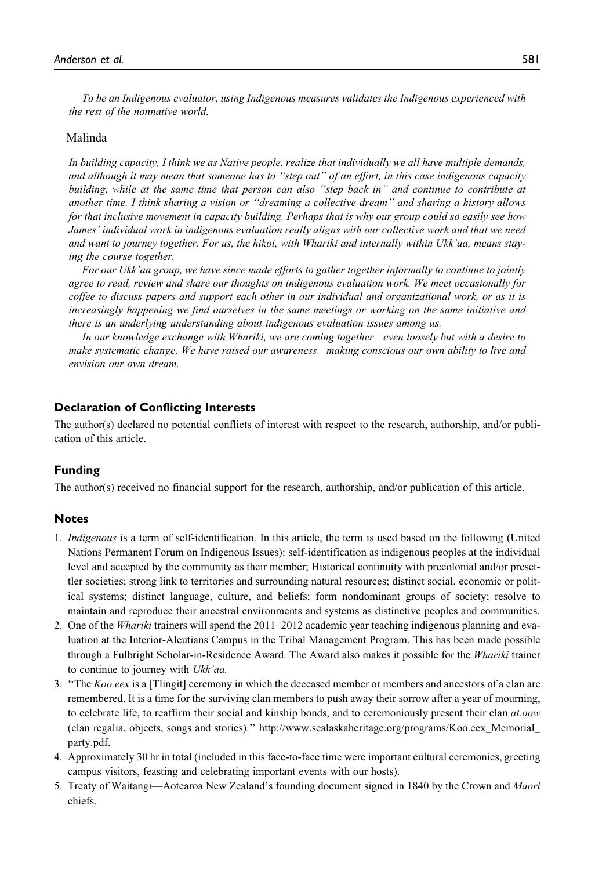To be an Indigenous evaluator, using Indigenous measures validates the Indigenous experienced with the rest of the nonnative world.

#### Malinda

In building capacity, I think we as Native people, realize that individually we all have multiple demands, and although it may mean that someone has to ''step out'' of an effort, in this case indigenous capacity building, while at the same time that person can also ''step back in'' and continue to contribute at another time. I think sharing a vision or ''dreaming a collective dream'' and sharing a history allows for that inclusive movement in capacity building. Perhaps that is why our group could so easily see how James' individual work in indigenous evaluation really aligns with our collective work and that we need and want to journey together. For us, the hikoi, with Whariki and internally within Ukk'aa, means staying the course together.

For our Ukk'aa group, we have since made efforts to gather together informally to continue to jointly agree to read, review and share our thoughts on indigenous evaluation work. We meet occasionally for coffee to discuss papers and support each other in our individual and organizational work, or as it is increasingly happening we find ourselves in the same meetings or working on the same initiative and there is an underlying understanding about indigenous evaluation issues among us.

In our knowledge exchange with Whariki, we are coming together—even loosely but with a desire to make systematic change. We have raised our awareness—making conscious our own ability to live and envision our own dream.

# Declaration of Conflicting Interests

The author(s) declared no potential conflicts of interest with respect to the research, authorship, and/or publication of this article.

#### Funding

The author(s) received no financial support for the research, authorship, and/or publication of this article.

### **Notes**

- 1. Indigenous is a term of self-identification. In this article, the term is used based on the following (United Nations Permanent Forum on Indigenous Issues): self-identification as indigenous peoples at the individual level and accepted by the community as their member; Historical continuity with precolonial and/or presettler societies; strong link to territories and surrounding natural resources; distinct social, economic or political systems; distinct language, culture, and beliefs; form nondominant groups of society; resolve to maintain and reproduce their ancestral environments and systems as distinctive peoples and communities.
- 2. One of the Whariki trainers will spend the 2011–2012 academic year teaching indigenous planning and evaluation at the Interior-Aleutians Campus in the Tribal Management Program. This has been made possible through a Fulbright Scholar-in-Residence Award. The Award also makes it possible for the Whariki trainer to continue to journey with Ukk'aa.
- 3. ''The Koo.eex is a [Tlingit] ceremony in which the deceased member or members and ancestors of a clan are remembered. It is a time for the surviving clan members to push away their sorrow after a year of mourning, to celebrate life, to reaffirm their social and kinship bonds, and to ceremoniously present their clan *at.oow* (clan regalia, objects, songs and stories).'' http://www.sealaskaheritage.org/programs/Koo.eex\_Memorial\_ party.pdf.
- 4. Approximately 30 hr in total (included in this face-to-face time were important cultural ceremonies, greeting campus visitors, feasting and celebrating important events with our hosts).
- 5. Treaty of Waitangi—Aotearoa New Zealand's founding document signed in 1840 by the Crown and Maori chiefs.